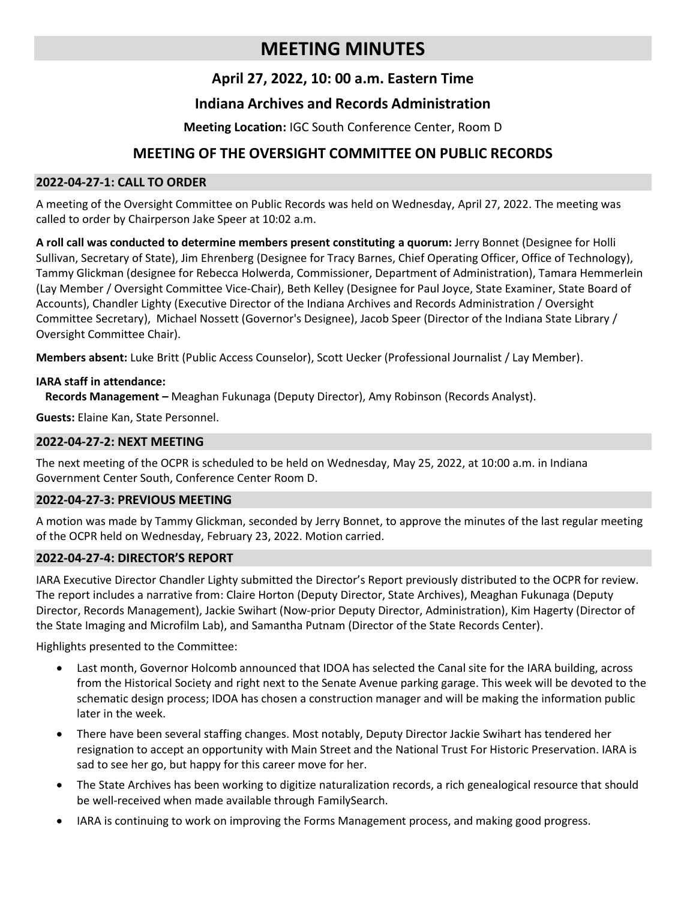# **MEETING MINUTES**

# **April 27, 2022, 10: 00 a.m. Eastern Time**

# **Indiana Archives and Records Administration**

## **Meeting Location:** IGC South Conference Center, Room D

# **MEETING OF THE OVERSIGHT COMMITTEE ON PUBLIC RECORDS**

#### **2022-04-27-1: CALL TO ORDER**

A meeting of the Oversight Committee on Public Records was held on Wednesday, April 27, 2022. The meeting was called to order by Chairperson Jake Speer at 10:02 a.m.

**A roll call was conducted to determine members present constituting a quorum:** Jerry Bonnet (Designee for Holli Sullivan, Secretary of State), Jim Ehrenberg (Designee for Tracy Barnes, Chief Operating Officer, Office of Technology), Tammy Glickman (designee for Rebecca Holwerda, Commissioner, Department of Administration), Tamara Hemmerlein (Lay Member / Oversight Committee Vice-Chair), Beth Kelley (Designee for Paul Joyce, State Examiner, State Board of Accounts), Chandler Lighty (Executive Director of the Indiana Archives and Records Administration / Oversight Committee Secretary), Michael Nossett (Governor's Designee), Jacob Speer (Director of the Indiana State Library / Oversight Committee Chair).

**Members absent:** Luke Britt (Public Access Counselor), Scott Uecker (Professional Journalist / Lay Member).

### **IARA staff in attendance:**

**Records Management –** Meaghan Fukunaga (Deputy Director), Amy Robinson (Records Analyst).

**Guests:** Elaine Kan, State Personnel.

#### **2022-04-27-2: NEXT MEETING**

The next meeting of the OCPR is scheduled to be held on Wednesday, May 25, 2022, at 10:00 a.m. in Indiana Government Center South, Conference Center Room D.

### **2022-04-27-3: PREVIOUS MEETING**

A motion was made by Tammy Glickman, seconded by Jerry Bonnet, to approve the minutes of the last regular meeting of the OCPR held on Wednesday, February 23, 2022. Motion carried.

### **2022-04-27-4: DIRECTOR'S REPORT**

IARA Executive Director Chandler Lighty submitted the Director's Report previously distributed to the OCPR for review. The report includes a narrative from: Claire Horton (Deputy Director, State Archives), Meaghan Fukunaga (Deputy Director, Records Management), Jackie Swihart (Now-prior Deputy Director, Administration), Kim Hagerty (Director of the State Imaging and Microfilm Lab), and Samantha Putnam (Director of the State Records Center).

Highlights presented to the Committee:

- Last month, Governor Holcomb announced that IDOA has selected the Canal site for the IARA building, across from the Historical Society and right next to the Senate Avenue parking garage. This week will be devoted to the schematic design process; IDOA has chosen a construction manager and will be making the information public later in the week.
- There have been several staffing changes. Most notably, Deputy Director Jackie Swihart has tendered her resignation to accept an opportunity with Main Street and the National Trust For Historic Preservation. IARA is sad to see her go, but happy for this career move for her.
- The State Archives has been working to digitize naturalization records, a rich genealogical resource that should be well-received when made available through FamilySearch.
- IARA is continuing to work on improving the Forms Management process, and making good progress.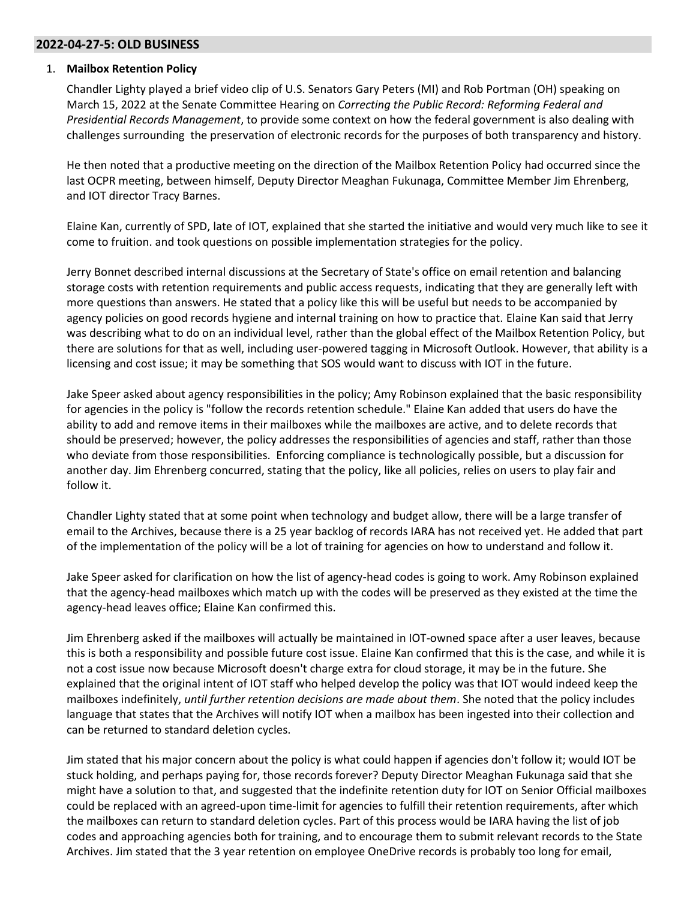#### **2022-04-27-5: OLD BUSINESS**

#### 1. **Mailbox Retention Policy**

Chandler Lighty played a brief video clip of U.S. Senators Gary Peters (MI) and Rob Portman (OH) speaking on March 15, 2022 at the Senate Committee Hearing on *Correcting the Public Record: Reforming Federal and Presidential Records Management*, to provide some context on how the federal government is also dealing with challenges surrounding the preservation of electronic records for the purposes of both transparency and history.

He then noted that a productive meeting on the direction of the Mailbox Retention Policy had occurred since the last OCPR meeting, between himself, Deputy Director Meaghan Fukunaga, Committee Member Jim Ehrenberg, and IOT director Tracy Barnes.

Elaine Kan, currently of SPD, late of IOT, explained that she started the initiative and would very much like to see it come to fruition. and took questions on possible implementation strategies for the policy.

Jerry Bonnet described internal discussions at the Secretary of State's office on email retention and balancing storage costs with retention requirements and public access requests, indicating that they are generally left with more questions than answers. He stated that a policy like this will be useful but needs to be accompanied by agency policies on good records hygiene and internal training on how to practice that. Elaine Kan said that Jerry was describing what to do on an individual level, rather than the global effect of the Mailbox Retention Policy, but there are solutions for that as well, including user-powered tagging in Microsoft Outlook. However, that ability is a licensing and cost issue; it may be something that SOS would want to discuss with IOT in the future.

Jake Speer asked about agency responsibilities in the policy; Amy Robinson explained that the basic responsibility for agencies in the policy is "follow the records retention schedule." Elaine Kan added that users do have the ability to add and remove items in their mailboxes while the mailboxes are active, and to delete records that should be preserved; however, the policy addresses the responsibilities of agencies and staff, rather than those who deviate from those responsibilities. Enforcing compliance is technologically possible, but a discussion for another day. Jim Ehrenberg concurred, stating that the policy, like all policies, relies on users to play fair and follow it.

Chandler Lighty stated that at some point when technology and budget allow, there will be a large transfer of email to the Archives, because there is a 25 year backlog of records IARA has not received yet. He added that part of the implementation of the policy will be a lot of training for agencies on how to understand and follow it.

Jake Speer asked for clarification on how the list of agency-head codes is going to work. Amy Robinson explained that the agency-head mailboxes which match up with the codes will be preserved as they existed at the time the agency-head leaves office; Elaine Kan confirmed this.

Jim Ehrenberg asked if the mailboxes will actually be maintained in IOT-owned space after a user leaves, because this is both a responsibility and possible future cost issue. Elaine Kan confirmed that this is the case, and while it is not a cost issue now because Microsoft doesn't charge extra for cloud storage, it may be in the future. She explained that the original intent of IOT staff who helped develop the policy was that IOT would indeed keep the mailboxes indefinitely, *until further retention decisions are made about them*. She noted that the policy includes language that states that the Archives will notify IOT when a mailbox has been ingested into their collection and can be returned to standard deletion cycles.

Jim stated that his major concern about the policy is what could happen if agencies don't follow it; would IOT be stuck holding, and perhaps paying for, those records forever? Deputy Director Meaghan Fukunaga said that she might have a solution to that, and suggested that the indefinite retention duty for IOT on Senior Official mailboxes could be replaced with an agreed-upon time-limit for agencies to fulfill their retention requirements, after which the mailboxes can return to standard deletion cycles. Part of this process would be IARA having the list of job codes and approaching agencies both for training, and to encourage them to submit relevant records to the State Archives. Jim stated that the 3 year retention on employee OneDrive records is probably too long for email,